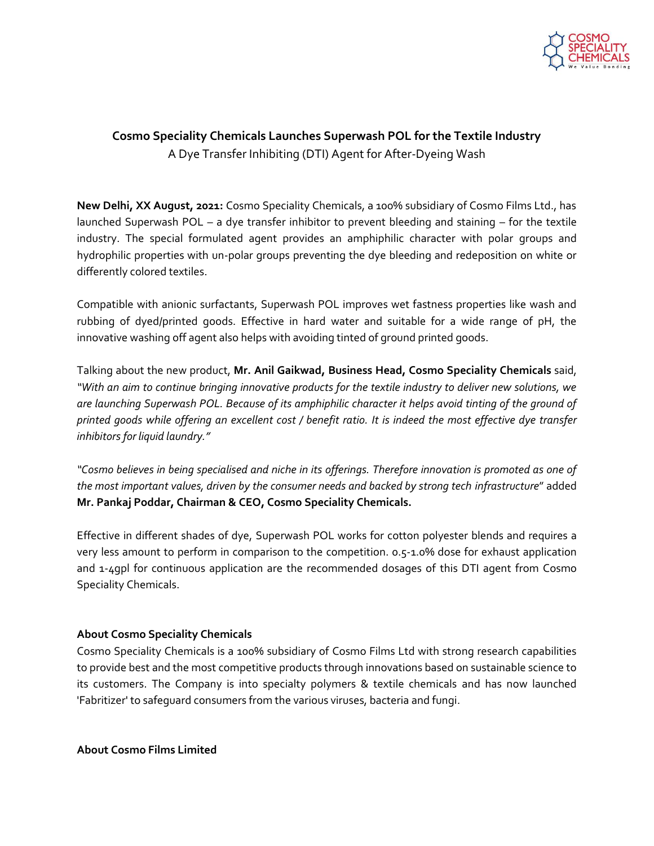

## **Cosmo Speciality Chemicals Launches Superwash POL for the Textile Industry**  A Dye Transfer Inhibiting (DTI) Agent for After-Dyeing Wash

**New Delhi, XX August, 2021:** Cosmo Speciality Chemicals, a 100% subsidiary of Cosmo Films Ltd., has launched Superwash POL – a dye transfer inhibitor to prevent bleeding and staining – for the textile industry. The special formulated agent provides an amphiphilic character with polar groups and hydrophilic properties with un-polar groups preventing the dye bleeding and redeposition on white or differently colored textiles.

Compatible with anionic surfactants, Superwash POL improves wet fastness properties like wash and rubbing of dyed/printed goods. Effective in hard water and suitable for a wide range of pH, the innovative washing off agent also helps with avoiding tinted of ground printed goods.

Talking about the new product, **Mr. Anil Gaikwad, Business Head, Cosmo Speciality Chemicals** said, *"With an aim to continue bringing innovative products for the textile industry to deliver new solutions, we are launching Superwash POL. Because of its amphiphilic character it helps avoid tinting of the ground of printed goods while offering an excellent cost / benefit ratio. It is indeed the most effective dye transfer inhibitors for liquid laundry."*

*"Cosmo believes in being specialised and niche in its offerings. Therefore innovation is promoted as one of the most important values, driven by the consumer needs and backed by strong tech infrastructure*" added **Mr. Pankaj Poddar, Chairman & CEO, Cosmo Speciality Chemicals.**

Effective in different shades of dye, Superwash POL works for cotton polyester blends and requires a very less amount to perform in comparison to the competition. 0.5-1.0% dose for exhaust application and 1-4gpl for continuous application are the recommended dosages of this DTI agent from Cosmo Speciality Chemicals.

## **About Cosmo Speciality Chemicals**

Cosmo Speciality Chemicals is a 100% subsidiary of Cosmo Films Ltd with strong research capabilities to provide best and the most competitive products through innovations based on sustainable science to its customers. The Company is into specialty polymers & textile chemicals and has now launched 'Fabritizer' to safeguard consumers from the various viruses, bacteria and fungi.

**About Cosmo Films Limited**